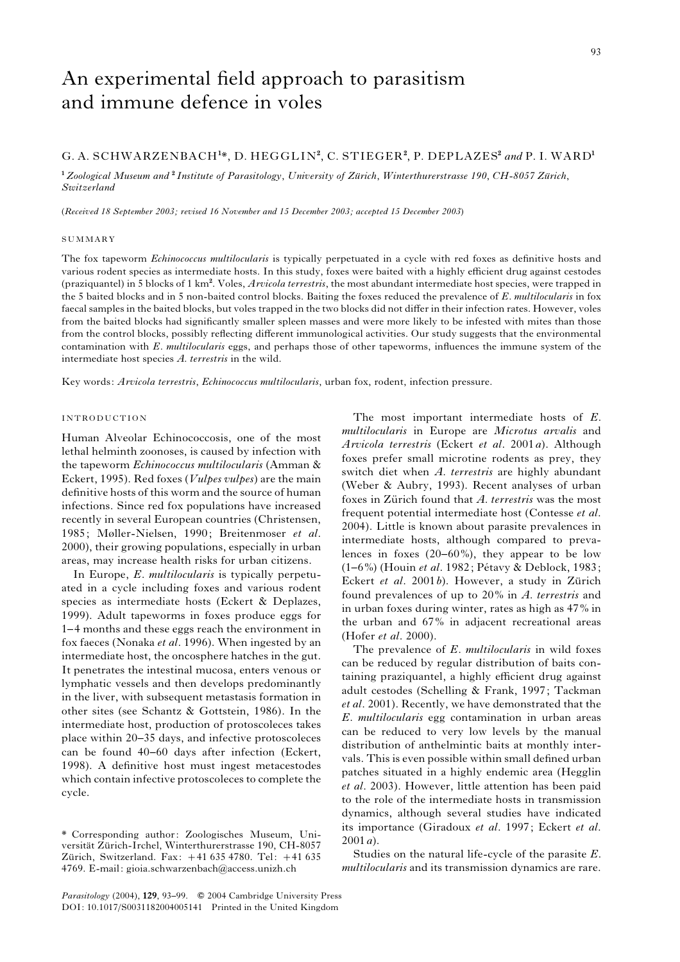# An experimental field approach to parasitism and immune defence in voles

# G. A. SCHWARZENBACH<sup>1\*</sup>, D. HEGGLIN<sup>2</sup>, C. STIEGER<sup>2</sup>, P. DEPLAZES<sup>2</sup> and P. I. WARD<sup>1</sup>

<sup>1</sup> Zoological Museum and <sup>2</sup> Institute of Parasitology, University of Zürich, Winterthurerstrasse 190, CH-8057 Zürich, Switzerland

(Received 18 September 2003; revised 16 November and 15 December 2003; accepted 15 December 2003)

#### **SUMMARY**

The fox tapeworm *Echinococcus multilocularis* is typically perpetuated in a cycle with red foxes as definitive hosts and various rodent species as intermediate hosts. In this study, foxes were baited with a highly efficient drug against cestodes (praziquantel) in 5 blocks of 1 km<sup>2</sup>. Voles, *Arvicola terrestris*, the most abundant intermediate host species, were trapped in the 5 baited blocks and in 5 non-baited control blocks. Baiting the foxes reduced the prevalence of E. multilocularis in fox faecal samples in the baited blocks, but voles trapped in the two blocks did not differ in their infection rates. However, voles from the baited blocks had significantly smaller spleen masses and were more likely to be infested with mites than those from the control blocks, possibly reflecting different immunological activities. Our study suggests that the environmental contamination with E. multilocularis eggs, and perhaps those of other tapeworms, influences the immune system of the intermediate host species A. terrestris in the wild.

Key words: Arvicola terrestris, Echinococcus multilocularis, urban fox, rodent, infection pressure.

## INTRODUCTION

Human Alveolar Echinococcosis, one of the most lethal helminth zoonoses, is caused by infection with the tapeworm Echinococcus multilocularis (Amman & Eckert, 1995). Red foxes (Vulpes vulpes) are the main definitive hosts of this worm and the source of human infections. Since red fox populations have increased recently in several European countries (Christensen, 1985; Møller-Nielsen, 1990; Breitenmoser et al. 2000), their growing populations, especially in urban areas, may increase health risks for urban citizens.

In Europe, E. multilocularis is typically perpetuated in a cycle including foxes and various rodent species as intermediate hosts (Eckert & Deplazes, 1999). Adult tapeworms in foxes produce eggs for 1–4 months and these eggs reach the environment in fox faeces (Nonaka et al. 1996). When ingested by an intermediate host, the oncosphere hatches in the gut. It penetrates the intestinal mucosa, enters venous or lymphatic vessels and then develops predominantly in the liver, with subsequent metastasis formation in other sites (see Schantz & Gottstein, 1986). In the intermediate host, production of protoscoleces takes place within 20–35 days, and infective protoscoleces can be found 40–60 days after infection (Eckert, 1998). A definitive host must ingest metacestodes which contain infective protoscoleces to complete the cycle.

The most important intermediate hosts of E. multilocularis in Europe are Microtus arvalis and Arvicola terrestris (Eckert et al. 2001a). Although foxes prefer small microtine rodents as prey, they switch diet when A. terrestris are highly abundant (Weber & Aubry, 1993). Recent analyses of urban foxes in Zürich found that  $A$ . terrestris was the most frequent potential intermediate host (Contesse et al. 2004). Little is known about parasite prevalences in intermediate hosts, although compared to prevalences in foxes (20–60%), they appear to be low (1–6%) (Houin et al. 1982; Pétavy & Deblock, 1983; Eckert et al. 2001b). However, a study in Zürich found prevalences of up to 20% in A. terrestris and in urban foxes during winter, rates as high as 47% in the urban and 67% in adjacent recreational areas (Hofer et al. 2000).

The prevalence of E. multilocularis in wild foxes can be reduced by regular distribution of baits containing praziquantel, a highly efficient drug against adult cestodes (Schelling & Frank, 1997; Tackman et al. 2001). Recently, we have demonstrated that the E. multilocularis egg contamination in urban areas can be reduced to very low levels by the manual distribution of anthelmintic baits at monthly intervals. This is even possible within small defined urban patches situated in a highly endemic area (Hegglin et al. 2003). However, little attention has been paid to the role of the intermediate hosts in transmission dynamics, although several studies have indicated its importance (Giradoux et al. 1997; Eckert et al.  $2001a$ ).

Studies on the natural life-cycle of the parasite  $E$ . multilocularis and its transmission dynamics are rare.

<sup>\*</sup> Corresponding author: Zoologisches Museum, Universität Zürich-Irchel, Winterthurerstrasse 190, CH-8057 Zürich, Switzerland. Fax: +41 635 4780. Tel: +41 635 4769. E-mail: gioia.schwarzenbach@access.unizh.ch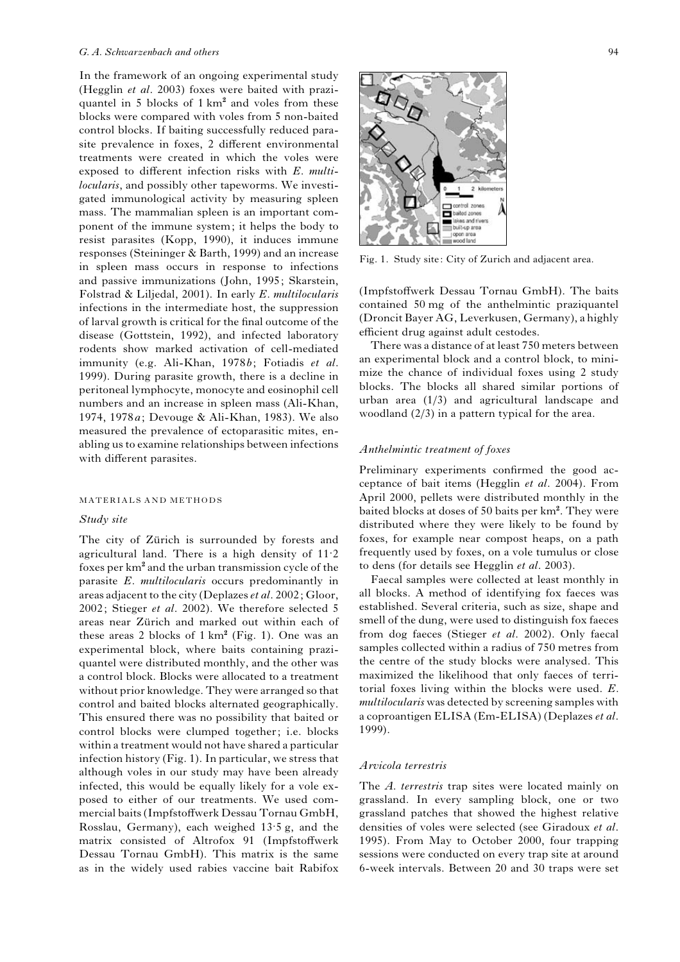## G. A. Schwarzenbach and others 94

In the framework of an ongoing experimental study (Hegglin et al. 2003) foxes were baited with praziquantel in  $5$  blocks of  $1 \text{ km}^2$  and voles from these blocks were compared with voles from 5 non-baited control blocks. If baiting successfully reduced parasite prevalence in foxes, 2 different environmental treatments were created in which the voles were exposed to different infection risks with E. multilocularis, and possibly other tapeworms. We investigated immunological activity by measuring spleen mass. The mammalian spleen is an important component of the immune system; it helps the body to resist parasites (Kopp, 1990), it induces immune responses (Steininger & Barth, 1999) and an increase in spleen mass occurs in response to infections and passive immunizations (John, 1995; Skarstein, Folstrad & Liljedal, 2001). In early E. multilocularis infections in the intermediate host, the suppression of larval growth is critical for the final outcome of the disease (Gottstein, 1992), and infected laboratory rodents show marked activation of cell-mediated immunity (e.g. Ali-Khan, 1978b; Fotiadis et al. 1999). During parasite growth, there is a decline in peritoneal lymphocyte, monocyte and eosinophil cell numbers and an increase in spleen mass (Ali-Khan, 1974, 1978a; Devouge & Ali-Khan, 1983). We also measured the prevalence of ectoparasitic mites, enabling us to examine relationships between infections with different parasites.

#### MATERIALS AND METHODS

## Study site

The city of Zürich is surrounded by forests and agricultural land. There is a high density of 11. 2 foxes per km<sup>2</sup> and the urban transmission cycle of the parasite E. multilocularis occurs predominantly in areas adjacent to the city (Deplazes et al. 2002; Gloor, 2002; Stieger et al. 2002). We therefore selected 5 areas near Zürich and marked out within each of these areas 2 blocks of  $1 \text{ km}^2$  (Fig. 1). One was an experimental block, where baits containing praziquantel were distributed monthly, and the other was a control block. Blocks were allocated to a treatment without prior knowledge. They were arranged so that control and baited blocks alternated geographically. This ensured there was no possibility that baited or control blocks were clumped together; i.e. blocks within a treatment would not have shared a particular infection history (Fig. 1). In particular, we stress that although voles in our study may have been already infected, this would be equally likely for a vole exposed to either of our treatments. We used commercial baits (Impfstoffwerk Dessau Tornau GmbH, Rosslau, Germany), each weighed 13. 5 g, and the matrix consisted of Altrofox 91 (Impfstoffwerk Dessau Tornau GmbH). This matrix is the same as in the widely used rabies vaccine bait Rabifox



Fig. 1. Study site: City of Zurich and adjacent area.

(Impfstoffwerk Dessau Tornau GmbH). The baits contained 50 mg of the anthelmintic praziquantel (Droncit Bayer AG, Leverkusen, Germany), a highly efficient drug against adult cestodes.

There was a distance of at least 750 meters between an experimental block and a control block, to minimize the chance of individual foxes using 2 study blocks. The blocks all shared similar portions of urban area (1/3) and agricultural landscape and woodland (2/3) in a pattern typical for the area.

## Anthelmintic treatment of foxes

Preliminary experiments confirmed the good acceptance of bait items (Hegglin et al. 2004). From April 2000, pellets were distributed monthly in the baited blocks at doses of 50 baits per km<sup>2</sup>. They were distributed where they were likely to be found by foxes, for example near compost heaps, on a path frequently used by foxes, on a vole tumulus or close to dens (for details see Hegglin et al. 2003).

Faecal samples were collected at least monthly in all blocks. A method of identifying fox faeces was established. Several criteria, such as size, shape and smell of the dung, were used to distinguish fox faeces from dog faeces (Stieger et al. 2002). Only faecal samples collected within a radius of 750 metres from the centre of the study blocks were analysed. This maximized the likelihood that only faeces of territorial foxes living within the blocks were used. E. multilocularis was detected by screening samples with a coproantigen ELISA (Em-ELISA) (Deplazes et al. 1999).

## Arvicola terrestris

The A. terrestris trap sites were located mainly on grassland. In every sampling block, one or two grassland patches that showed the highest relative densities of voles were selected (see Giradoux et al. 1995). From May to October 2000, four trapping sessions were conducted on every trap site at around 6-week intervals. Between 20 and 30 traps were set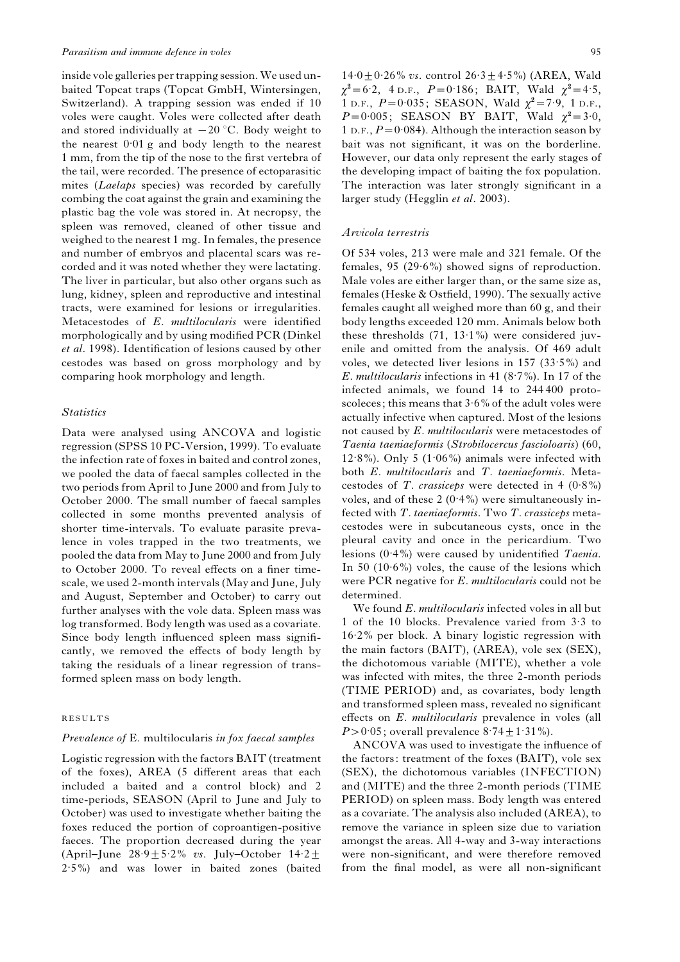inside vole galleries per trapping session.We used unbaited Topcat traps (Topcat GmbH, Wintersingen, Switzerland). A trapping session was ended if 10 voles were caught. Voles were collected after death and stored individually at  $-20$  °C. Body weight to the nearest 0. 01 g and body length to the nearest 1 mm, from the tip of the nose to the first vertebra of the tail, were recorded. The presence of ectoparasitic mites (Laelaps species) was recorded by carefully combing the coat against the grain and examining the plastic bag the vole was stored in. At necropsy, the spleen was removed, cleaned of other tissue and weighed to the nearest 1 mg. In females, the presence and number of embryos and placental scars was recorded and it was noted whether they were lactating. The liver in particular, but also other organs such as lung, kidney, spleen and reproductive and intestinal tracts, were examined for lesions or irregularities. Metacestodes of E. multilocularis were identified morphologically and by using modified PCR (Dinkel et al. 1998). Identification of lesions caused by other cestodes was based on gross morphology and by comparing hook morphology and length.

#### **Statistics**

Data were analysed using ANCOVA and logistic regression (SPSS 10 PC-Version, 1999). To evaluate the infection rate of foxes in baited and control zones, we pooled the data of faecal samples collected in the two periods from April to June 2000 and from July to October 2000. The small number of faecal samples collected in some months prevented analysis of shorter time-intervals. To evaluate parasite prevalence in voles trapped in the two treatments, we pooled the data from May to June 2000 and from July to October 2000. To reveal effects on a finer timescale, we used 2-month intervals (May and June, July and August, September and October) to carry out further analyses with the vole data. Spleen mass was log transformed. Body length was used as a covariate. Since body length influenced spleen mass significantly, we removed the effects of body length by taking the residuals of a linear regression of transformed spleen mass on body length.

## RESULTS

## Prevalence of E. multilocularis in fox faecal samples

Logistic regression with the factors BAIT (treatment of the foxes), AREA (5 different areas that each included a baited and a control block) and 2 time-periods, SEASON (April to June and July to October) was used to investigate whether baiting the foxes reduced the portion of coproantigen-positive faeces. The proportion decreased during the year (April–June  $28.9 \pm 5.2\%$  vs. July–October  $14.2 \pm$ 2. 5%) and was lower in baited zones (baited

 $14.0 \pm 0.26$ % vs. control  $26.3 \pm 4.5$ %) (AREA, Wald  $\chi^2 = 6.2$ , 4 D.F.,  $P = 0.186$ ; BAIT, Wald  $\chi^2 = 4.5$ , 1 D.F.,  $P=0.035$ ; SEASON, Wald  $\chi^2 = 7.9$ , 1 D.F.,  $P=0.005$ ; SEASON BY BAIT, Wald  $\chi^2=3.0$ , 1 D.F.,  $P = 0.084$ ). Although the interaction season by bait was not significant, it was on the borderline. However, our data only represent the early stages of the developing impact of baiting the fox population. The interaction was later strongly significant in a larger study (Hegglin et al. 2003).

#### Arvicola terrestris

Of 534 voles, 213 were male and 321 female. Of the females, 95 (29. 6%) showed signs of reproduction. Male voles are either larger than, or the same size as, females (Heske & Ostfield, 1990). The sexually active females caught all weighed more than 60 g, and their body lengths exceeded 120 mm. Animals below both these thresholds (71, 13. 1%) were considered juvenile and omitted from the analysis. Of 469 adult voles, we detected liver lesions in 157 (33. 5%) and E. multilocularis infections in 41 (8.7%). In 17 of the infected animals, we found 14 to 244 400 protoscoleces; this means that  $3.6\%$  of the adult voles were actually infective when captured. Most of the lesions not caused by E. multilocularis were metacestodes of Taenia taeniaeformis (Strobilocercus fascioloaris) (60, 12. 8%). Only 5 (1. 06%) animals were infected with both E. multilocularis and T. taeniaeformis. Metacestodes of T. crassiceps were detected in 4  $(0.8\%)$ voles, and of these  $2(0.4\%)$  were simultaneously infected with T. taeniaeformis. Two T. crassiceps metacestodes were in subcutaneous cysts, once in the pleural cavity and once in the pericardium. Two .<br>lesions (0.4%) were caused by unidentified Taenia. In 50  $(10.6\%)$  voles, the cause of the lesions which were PCR negative for E. multilocularis could not be determined.

We found E. multilocularis infected voles in all but 1 of the 10 blocks. Prevalence varied from 3. 3 to 16.2% per block. A binary logistic regression with the main factors (BAIT), (AREA), vole sex (SEX), the dichotomous variable (MITE), whether a vole was infected with mites, the three 2-month periods (TIME PERIOD) and, as covariates, body length and transformed spleen mass, revealed no significant effects on E. multilocularis prevalence in voles (all  $P > 0.05$ ; overall prevalence  $8.74 \pm 1.31\%$ ).

ANCOVA was used to investigate the influence of the factors: treatment of the foxes (BAIT), vole sex (SEX), the dichotomous variables (INFECTION) and (MITE) and the three 2-month periods (TIME PERIOD) on spleen mass. Body length was entered as a covariate. The analysis also included (AREA), to remove the variance in spleen size due to variation amongst the areas. All 4-way and 3-way interactions were non-significant, and were therefore removed from the final model, as were all non-significant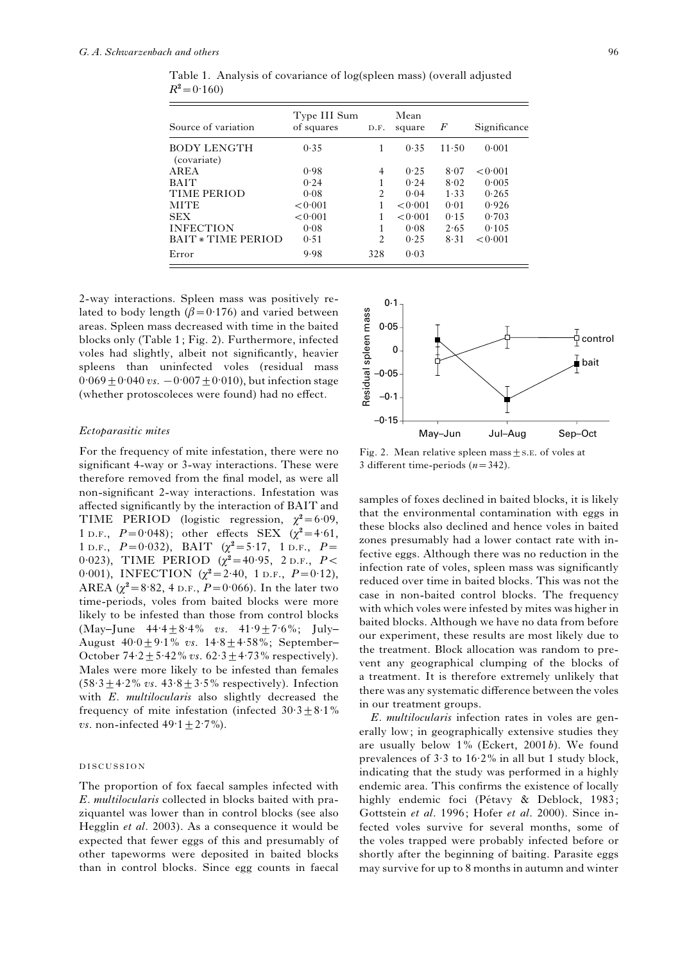| Source of variation               | Type III Sum<br>of squares | D.F. | Mean<br>square | F         | Significance |
|-----------------------------------|----------------------------|------|----------------|-----------|--------------|
| <b>BODY LENGTH</b><br>(covariate) | 0.35                       |      | 0.35           | $11 - 50$ | 0.001        |
| AREA                              | 0.98                       | 4    | 0.25           | 8.07      | < 0.001      |
| <b>BAIT</b>                       | 0.24                       | 1    | 0.24           | 8.02      | 0.005        |
| TIME PERIOD                       | 0.08                       | 2    | 0.04           | 1.33      | 0.265        |
| <b>MITE</b>                       | < 0.001                    | 1    | < 0.001        | 0.01      | 0.926        |
| <b>SEX</b>                        | < 0.001                    |      | < 0.001        | 0.15      | 0.703        |
| <b>INFECTION</b>                  | 0.08                       | 1    | 0.08           | 2.65      | 0.105        |
| <b>BAIT * TIME PERIOD</b>         | 0.51                       | 2    | 0.25           | 8.31      | < 0.001      |
| Error                             | 9.98                       | 328  | 0.03           |           |              |

Table 1. Analysis of covariance of log(spleen mass) (overall adjusted  $R^2 = 0.160$ 

2-way interactions. Spleen mass was positively related to body length  $(\beta = 0.176)$  and varied between areas. Spleen mass decreased with time in the baited blocks only (Table 1; Fig. 2). Furthermore, infected voles had slightly, albeit not significantly, heavier spleens than uninfected voles (residual mass  $0.069 \pm 0.040 \, vs. \, -0.007 \pm 0.010$ , but infection stage (whether protoscoleces were found) had no effect.

### Ectoparasitic mites

For the frequency of mite infestation, there were no significant 4-way or 3-way interactions. These were therefore removed from the final model, as were all non-significant 2-way interactions. Infestation was affected significantly by the interaction of BAIT and TIME PERIOD (logistic regression,  $\chi^2 = 6.09$ , 1 D.F.,  $P=0.048$ ; other effects SEX  $(x^2=4.61)$ , 1 D.F.,  $P=0.032$ ), BAIT ( $\chi^2=5.17$ , 1 D.F.,  $P=$ 0.023), TIME PERIOD  $(\chi^2 = 40.95, 2$  D.F., P< 0.001), INFECTION  $(\chi^2 = 2.40, 1 \text{ d.f.}, P = 0.12)$ , AREA  $(\chi^2 = 8.82, 4$  D.F.,  $P = 0.066$ ). In the later two time-periods, voles from baited blocks were more likely to be infested than those from control blocks (May–June  $44.4 \pm 8.4\%$  vs.  $41.9 \pm 7.6\%$ ; July– August  $40.0 \pm 9.1\%$  vs.  $14.8 \pm 4.58\%$ ; September-October 74.2  $\pm$  5.42% vs. 62.3  $\pm$  4.73% respectively). Males were more likely to be infested than females  $(58.3 \pm 4.2\% \text{ vs. } 43.8 \pm 3.5\% \text{ respectively}).$  Infection with E. multilocularis also slightly decreased the frequency of mite infestation (infected  $30.3 \pm 8.1\%$ vs. non-infected  $49.1 \pm 2.7\%$ ).

#### DISCUSSION

The proportion of fox faecal samples infected with E. multilocularis collected in blocks baited with praziquantel was lower than in control blocks (see also Hegglin et al. 2003). As a consequence it would be expected that fewer eggs of this and presumably of other tapeworms were deposited in baited blocks than in control blocks. Since egg counts in faecal



Fig. 2. Mean relative spleen mass  $\pm$  s.E. of voles at 3 different time-periods  $(n=342)$ .

samples of foxes declined in baited blocks, it is likely that the environmental contamination with eggs in these blocks also declined and hence voles in baited zones presumably had a lower contact rate with infective eggs. Although there was no reduction in the infection rate of voles, spleen mass was significantly reduced over time in baited blocks. This was not the case in non-baited control blocks. The frequency with which voles were infested by mites was higher in baited blocks. Although we have no data from before our experiment, these results are most likely due to the treatment. Block allocation was random to prevent any geographical clumping of the blocks of a treatment. It is therefore extremely unlikely that there was any systematic difference between the voles in our treatment groups.

E. multilocularis infection rates in voles are generally low; in geographically extensive studies they are usually below  $1\%$  (Eckert, 2001b). We found prevalences of 3. 3 to 16.2% in all but 1 study block, indicating that the study was performed in a highly endemic area. This confirms the existence of locally highly endemic foci (Pétavy & Deblock, 1983; Gottstein et al. 1996; Hofer et al. 2000). Since infected voles survive for several months, some of the voles trapped were probably infected before or shortly after the beginning of baiting. Parasite eggs may survive for up to 8 months in autumn and winter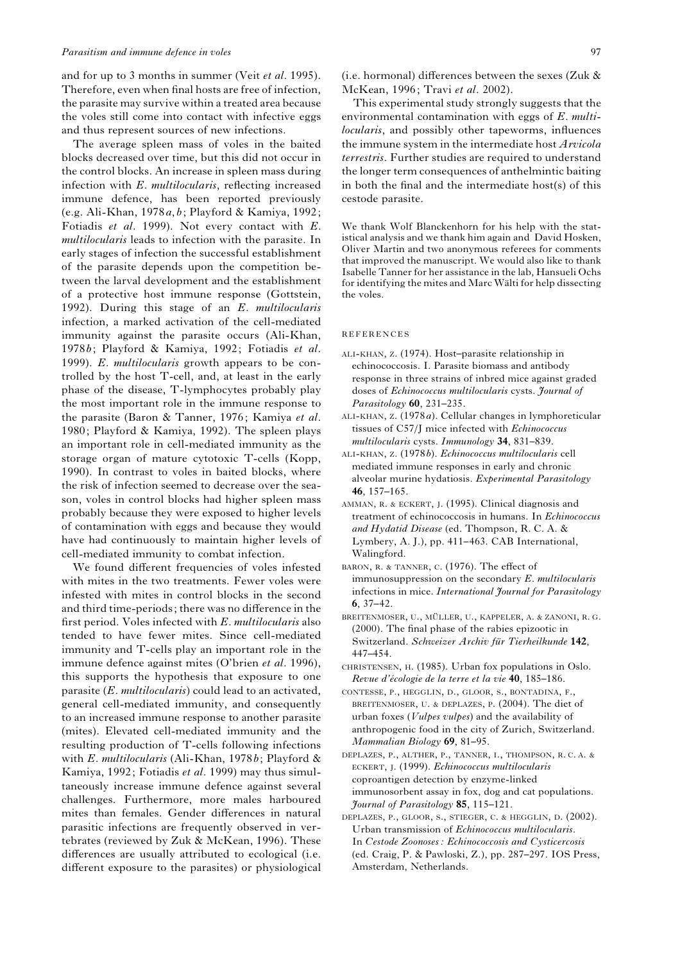#### Parasitism and immune defence in voles  $97$

and for up to 3 months in summer (Veit et al. 1995). Therefore, even when final hosts are free of infection, the parasite may survive within a treated area because the voles still come into contact with infective eggs and thus represent sources of new infections.

The average spleen mass of voles in the baited blocks decreased over time, but this did not occur in the control blocks. An increase in spleen mass during infection with E. multilocularis, reflecting increased immune defence, has been reported previously (e.g. Ali-Khan, 1978a, b; Playford & Kamiya, 1992; Fotiadis et al. 1999). Not every contact with E. multilocularis leads to infection with the parasite. In early stages of infection the successful establishment of the parasite depends upon the competition between the larval development and the establishment of a protective host immune response (Gottstein, 1992). During this stage of an E. multilocularis infection, a marked activation of the cell-mediated immunity against the parasite occurs (Ali-Khan, 1978b; Playford & Kamiya, 1992; Fotiadis et al. 1999). E. multilocularis growth appears to be controlled by the host T-cell, and, at least in the early phase of the disease, T-lymphocytes probably play the most important role in the immune response to the parasite (Baron & Tanner, 1976; Kamiya et al. 1980; Playford & Kamiya, 1992). The spleen plays an important role in cell-mediated immunity as the storage organ of mature cytotoxic T-cells (Kopp, 1990). In contrast to voles in baited blocks, where the risk of infection seemed to decrease over the season, voles in control blocks had higher spleen mass probably because they were exposed to higher levels of contamination with eggs and because they would have had continuously to maintain higher levels of cell-mediated immunity to combat infection.

We found different frequencies of voles infested with mites in the two treatments. Fewer voles were infested with mites in control blocks in the second and third time-periods; there was no difference in the first period. Voles infected with E. multilocularis also tended to have fewer mites. Since cell-mediated immunity and T-cells play an important role in the immune defence against mites (O'brien et al. 1996), this supports the hypothesis that exposure to one parasite (E. multilocularis) could lead to an activated, general cell-mediated immunity, and consequently to an increased immune response to another parasite (mites). Elevated cell-mediated immunity and the resulting production of T-cells following infections with E. multilocularis (Ali-Khan, 1978b; Playford & Kamiya, 1992; Fotiadis et al. 1999) may thus simultaneously increase immune defence against several challenges. Furthermore, more males harboured mites than females. Gender differences in natural parasitic infections are frequently observed in vertebrates (reviewed by Zuk & McKean, 1996). These differences are usually attributed to ecological (i.e. different exposure to the parasites) or physiological (i.e. hormonal) differences between the sexes (Zuk  $\&$ McKean, 1996; Travi et al. 2002).

This experimental study strongly suggests that the environmental contamination with eggs of E. multilocularis, and possibly other tapeworms, influences the immune system in the intermediate host Arvicola terrestris. Further studies are required to understand the longer term consequences of anthelmintic baiting in both the final and the intermediate host(s) of this cestode parasite.

We thank Wolf Blanckenhorn for his help with the statistical analysis and we thank him again and David Hosken, Oliver Martin and two anonymous referees for comments that improved the manuscript. We would also like to thank Isabelle Tanner for her assistance in the lab, Hansueli Ochs for identifying the mites and Marc Wälti for help dissecting the voles.

#### REFERENCES

- ALI-KHAN, Z. (1974). Host–parasite relationship in echinococcosis. I. Parasite biomass and antibody response in three strains of inbred mice against graded doses of Echinococcus multilocularis cysts. Journal of Parasitology 60, 231-235.
- ALI-KHAN, Z. (1978a). Cellular changes in lymphoreticular tissues of C57/J mice infected with Echinococcus multilocularis cysts. Immunology 34, 831–839.
- ALI-KHAN, Z. (1978b). Echinococcus multilocularis cell mediated immune responses in early and chronic alveolar murine hydatiosis. Experimental Parasitology 46, 157–165.
- AMMAN, R. & ECKERT, J. (1995). Clinical diagnosis and treatment of echinococcosis in humans. In Echinococcus and Hydatid Disease (ed. Thompson, R. C. A. & Lymbery, A. J.), pp. 411–463. CAB International, Walingford.
- BARON, R. & TANNER, C. (1976). The effect of immunosuppression on the secondary E. multilocularis infections in mice. International Journal for Parasitology 6, 37–42.
- BREITENMOSER, U., MÜLLER, U., KAPPELER, A. & ZANONI, R. G. (2000). The final phase of the rabies epizootic in Switzerland. Schweizer Archiv für Tierheilkunde 142, 447–454.
- CHRISTENSEN, H. (1985). Urban fox populations in Oslo. Revue d'écologie de la terre et la vie 40, 185-186.
- CONTESSE, P., HEGGLIN, D., GLOOR, S., BONTADINA, F., BREITENMOSER, U. & DEPLAZES, P. (2004). The diet of urban foxes (Vulpes vulpes) and the availability of anthropogenic food in the city of Zurich, Switzerland. Mammalian Biology 69, 81–95.
- DEPLAZES, P., ALTHER, P., TANNER, I., THOMPSON, R. C. A. & ECKERT, J. (1999). Echinococcus multilocularis coproantigen detection by enzyme-linked immunosorbent assay in fox, dog and cat populations. Journal of Parasitology 85, 115–121.
- DEPLAZES, P., GLOOR, S., STIEGER, C. & HEGGLIN, D. (2002). Urban transmission of Echinococcus multilocularis. In Cestode Zoonoses : Echinococcosis and Cysticercosis (ed. Craig, P. & Pawloski, Z.), pp. 287–297. IOS Press, Amsterdam, Netherlands.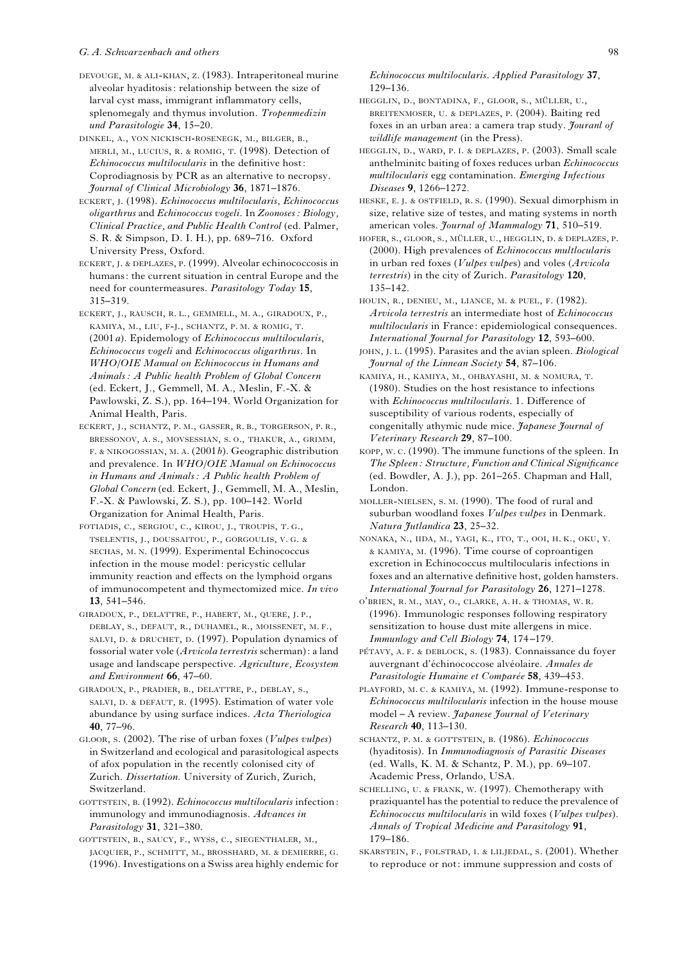DEVOUGE, M. & ALI-KHAN, Z. (1983). Intraperitoneal murine alveolar hyaditosis: relationship between the size of larval cyst mass, immigrant inflammatory cells, splenomegaly and thymus involution. Tropenmedizin und Parasitologie 34, 15–20.

DINKEL, A., VON NICKISCH-ROSENEGK, M., BILGER, B., MERLI, M., LUCIUS, R. & ROMIG, T. (1998). Detection of Echinococcus multilocularis in the definitive host: Coprodiagnosis by PCR as an alternative to necropsy. Journal of Clinical Microbiology 36, 1871–1876.

ECKERT, J. (1998). Echinococcus multilocularis, Echinococcus oligarthrus and Echinococcus vogeli. In Zoonoses : Biology, Clinical Practice, and Public Health Control (ed. Palmer, S. R. & Simpson, D. I. H.), pp. 689–716. Oxford University Press, Oxford.

ECKERT, J. & DEPLAZES, P. (1999). Alveolar echinococcosis in humans: the current situation in central Europe and the need for countermeasures. Parasitology Today 15, 315–319.

ECKERT, J., RAUSCH, R. L., GEMMELL, M. A., GIRADOUX, P., KAMIYA, M., LIU, F-J., SCHANTZ, P. M. & ROMIG, T. (2001a). Epidemology of Echinococcus multilocularis, Echinococcus vogeli and Echinococcus oligarthrus. In WHO/OIE Manual on Echinococcus in Humans and Animals: A Public health Problem of Global Concern (ed. Eckert, J., Gemmell, M. A., Meslin, F.-X. & Pawlowski, Z. S.), pp. 164–194. World Organization for Animal Health, Paris.

ECKERT, J., SCHANTZ, P. M., GASSER, R. B., TORGERSON, P. R., BRESSONOV, A. S., MOVSESSIAN, S. O., THAKUR, A., GRIMM, F. & NIKOGOSSIAN, M. A. (2001b). Geographic distribution and prevalence. In WHO/OIE Manual on Echinococcus in Humans and Animals: A Public health Problem of Global Concern (ed. Eckert, J., Gemmell, M. A., Meslin, F.-X. & Pawlowski, Z. S.), pp. 100–142. World Organization for Animal Health, Paris.

FOTIADIS, C., SERGIOU, C., KIROU, J., TROUPIS, T. G., TSELENTIS, J., DOUSSAITOU, P., GORGOULIS, V. G. & SECHAS, M. N. (1999). Experimental Echinococcus infection in the mouse model: pericystic cellular immunity reaction and effects on the lymphoid organs of immunocompetent and thymectomized mice. In vivo 13, 541–546.

GIRADOUX, P., DELATTRE, P., HABERT, M., QUERE, J. P., DEBLAY, S., DEFAUT, R., DUHAMEL, R., MOISSENET, M. F., SALVI, D. & DRUCHET, D. (1997). Population dynamics of fossorial water vole (Arvicola terrestris scherman): a land usage and landscape perspective. Agriculture, Ecosystem and Environment 66, 47–60.

GIRADOUX, P., PRADIER, B., DELATTRE, P., DEBLAY, S., SALVI, D. & DEFAUT, R. (1995). Estimation of water vole abundance by using surface indices. Acta Theriologica 40, 77–96.

GLOOR, S. (2002). The rise of urban foxes (Vulpes vulpes) in Switzerland and ecological and parasitological aspects of afox population in the recently colonised city of Zurich. Dissertation. University of Zurich, Zurich, Switzerland.

GOTTSTEIN, B. (1992). Echinococcus multilocularis infection: immunology and immunodiagnosis. Advances in Parasitology 31, 321–380.

GOTTSTEIN, B., SAUCY, F., WYSS, C., SIEGENTHALER, M., JACQUIER, P., SCHMITT, M., BROSSHARD, M. & DEMIERRE, G. (1996). Investigations on a Swiss area highly endemic for

#### Echinococcus multilocularis. Applied Parasitology 37, 129–136.

- HEGGLIN, D., BONTADINA, F., GLOOR, S., MÜLLER, U., BREITENMOSER, U. & DEPLAZES, P. (2004). Baiting red foxes in an urban area: a camera trap study. Jouranl of wildlife management (in the Press).
- HEGGLIN, D., WARD, P. I. & DEPLAZES, P. (2003). Small scale anthelminitc baiting of foxes reduces urban Echinococcus multilocularis egg contamination. Emerging Infectious Diseases 9, 1266–1272.

HESKE, E. J. & OSTFIELD, R. S. (1990). Sexual dimorphism in size, relative size of testes, and mating systems in north american voles. *Journal of Mammalogy* 71, 510–519.

HOFER, S., GLOOR, S., MÜLLER, U., HEGGLIN, D. & DEPLAZES, P. (2000). High prevalences of Echinococcus multlocularis in urban red foxes (Vulpes vulpes) and voles (Arvicola terrestris) in the city of Zurich. Parasitology 120, 135–142.

HOUIN, R., DENIEU, M., LIANCE, M. & PUEL, F. (1982). Arvicola terrestris an intermediate host of Echinococcus multilocularis in France: epidemiological consequences. International Journal for Parasitology 12, 593–600.

JOHN, J. L. (1995). Parasites and the avian spleen. Biological Journal of the Linnean Society 54, 87–106.

KAMIYA, H., KAMIYA, M., OHBAYASHI, M. & NOMURA, T. (1980). Studies on the host resistance to infections with Echinococcus multilocularis. 1. Difference of susceptibility of various rodents, especially of congenitally athymic nude mice. Japanese Journal of Veterinary Research 29, 87–100.

KOPP, W. C. (1990). The immune functions of the spleen. In The Spleen : Structure, Function and Clinical Significance (ed. Bowdler, A. J.), pp. 261–265. Chapman and Hall, London.

MØLLER-NIELSEN, S. M. (1990). The food of rural and suburban woodland foxes Vulpes vulpes in Denmark. Natura Jutlandica 23, 25-32.

NONAKA, N., IIDA, M., YAGI, K., ITO, T., OOI, H. K., OKU, Y. & KAMIYA, M. (1996). Time course of coproantigen excretion in Echinococcus multilocularis infections in foxes and an alternative definitive host, golden hamsters. International Journal for Parasitology 26, 1271–1278.

O'BRIEN, R. M., MAY, O., CLARKE, A. H. & THOMAS, W. R. (1996). Immunologic responses following respiratory sensitization to house dust mite allergens in mice. Immunlogy and Cell Biology 74, 174 –179.

PE´TAVY, A. F. & DEBLOCK, S. (1983). Connaissance du foyer auvergnant d'échinococcose alvéolaire. Annales de Parasitologie Humaine et Comparée 58, 439-453.

PLAYFORD, M. C. & KAMIYA, M. (1992). Immune-response to Echinococcus multilocularis infection in the house mouse model – A review. Japanese Journal of Veterinary Research 40, 113–130.

SCHANTZ, P. M. & GOTTSTEIN, B. (1986). Echinococcus (hyaditosis). In Immunodiagnosis of Parasitic Diseases (ed. Walls, K. M. & Schantz, P. M.), pp. 69–107. Academic Press, Orlando, USA.

SCHELLING, U. & FRANK, W. (1997). Chemotherapy with praziquantel has the potential to reduce the prevalence of Echinococcus multilocularis in wild foxes (Vulpes vulpes). Annals of Tropical Medicine and Parasitology 91, 179–186.

SKARSTEIN, F., FOLSTRAD, I. & LILJEDAL, S. (2001). Whether to reproduce or not: immune suppression and costs of